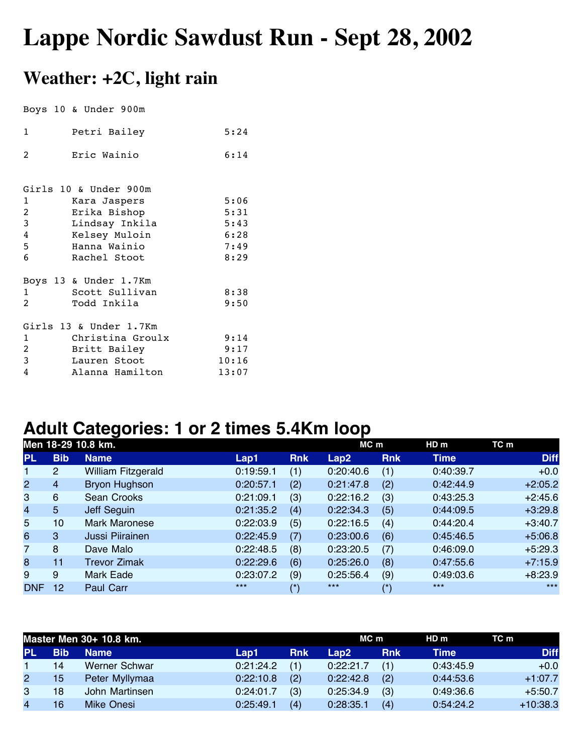## **Lappe Nordic Sawdust Run - Sept 28, 2002**

## **Weather: +2C, light rain**

Boys 10 & Under 900m

| 1              | Petri Bailey           | 5:24  |
|----------------|------------------------|-------|
| $\mathcal{L}$  | Eric Wainio            | 6:14  |
|                |                        |       |
|                | Girls 10 & Under 900m  |       |
| 1              | Kara Jaspers           | 5:06  |
| $\overline{c}$ | Erika Bishop           | 5:31  |
| 3              | Lindsay Inkila         | 5:43  |
| 4              | Kelsey Muloin          | 6:28  |
| 5              | Hanna Wainio           | 7:49  |
| 6              | Rachel Stoot           | 8:29  |
|                | Boys 13 & Under 1.7Km  |       |
| 1              | Scott Sullivan         | 8:38  |
| 2              | Todd Inkila            | 9:50  |
|                | Girls 13 & Under 1.7Km |       |
| 1              | Christina Groulx       | 9:14  |
| $\overline{2}$ | Britt Bailey           | 9:17  |
| 3              | Lauren Stoot           | 10:16 |
| 4              | Alanna Hamilton        | 13:07 |

## **Adult Categories: 1 or 2 times 5.4Km loop**

|                | Men 18-29 10.8 km. |                      |           |            |           | MC m       | HD <sub>m</sub> | TC m        |
|----------------|--------------------|----------------------|-----------|------------|-----------|------------|-----------------|-------------|
| <b>PL</b>      | <b>Bib</b>         | <b>Name</b>          | Lap1      | <b>Rnk</b> | Lap2      | <b>Rnk</b> | <b>Time</b>     | <b>Diff</b> |
| 1.             | 2                  | William Fitzgerald   | 0:19:59.1 | (1)        | 0:20:40.6 | (1)        | 0:40:39.7       | $+0.0$      |
| $\overline{2}$ | $\overline{4}$     | <b>Bryon Hughson</b> | 0:20:57.1 | (2)        | 0:21:47.8 | (2)        | 0:42:44.9       | $+2:05.2$   |
| 3              | $6\phantom{1}6$    | Sean Crooks          | 0:21:09.1 | (3)        | 0:22:16.2 | (3)        | 0:43:25.3       | $+2:45.6$   |
| $\overline{4}$ | $5\phantom{.}$     | Jeff Seguin          | 0:21:35.2 | (4)        | 0:22:34.3 | (5)        | 0:44:09.5       | $+3:29.8$   |
| 5              | 10                 | <b>Mark Maronese</b> | 0:22:03.9 | (5)        | 0:22:16.5 | (4)        | 0:44:20.4       | $+3:40.7$   |
| 6              | 3                  | Jussi Piirainen      | 0:22:45.9 | (7)        | 0:23:00.6 | (6)        | 0:45:46.5       | $+5:06.8$   |
| $\overline{7}$ | 8                  | Dave Malo            | 0:22:48.5 | (8)        | 0:23:20.5 | (7)        | 0:46:09.0       | $+5:29.3$   |
| 8              | 11                 | <b>Trevor Zimak</b>  | 0:22:29.6 | (6)        | 0:25:26.0 | (8)        | 0:47:55.6       | $+7:15.9$   |
| 9              | 9                  | Mark Eade            | 0:23:07.2 | (9)        | 0:25:56.4 | (9)        | 0:49:03.6       | $+8:23.9$   |
| <b>DNF</b>     | 12                 | <b>Paul Carr</b>     | $***$     | (*)        | $***$     | (*)        | $***$           | $***$       |

|           | Master Men 30+ 10.8 km. |                |           |            |           | MC m       |           | TC m        |
|-----------|-------------------------|----------------|-----------|------------|-----------|------------|-----------|-------------|
| <b>PL</b> | <b>Bib</b>              | <b>Name</b>    | Lap1      | <b>Rnk</b> | Lap2.     | <b>Rnk</b> | Time      | <b>Diff</b> |
|           | 14                      | Werner Schwar  | 0:21:24.2 | (1)        | 0:22:21.7 |            | 0:43:45.9 | $+0.0$      |
| 2         | 15                      | Peter Myllymaa | 0:22:10.8 | (2)        | 0:22:42.8 | (2)        | 0:44:53.6 | $+1:07.7$   |
| 3         | 18                      | John Martinsen | 0:24:01.7 | (3)        | 0:25:34.9 | (3)        | 0:49:36.6 | $+5:50.7$   |
| 4         | 16                      | Mike Onesi     | 0:25:49.1 | (4)        | 0:28:35.1 | (4)        | 0:54:24.2 | $+10:38.3$  |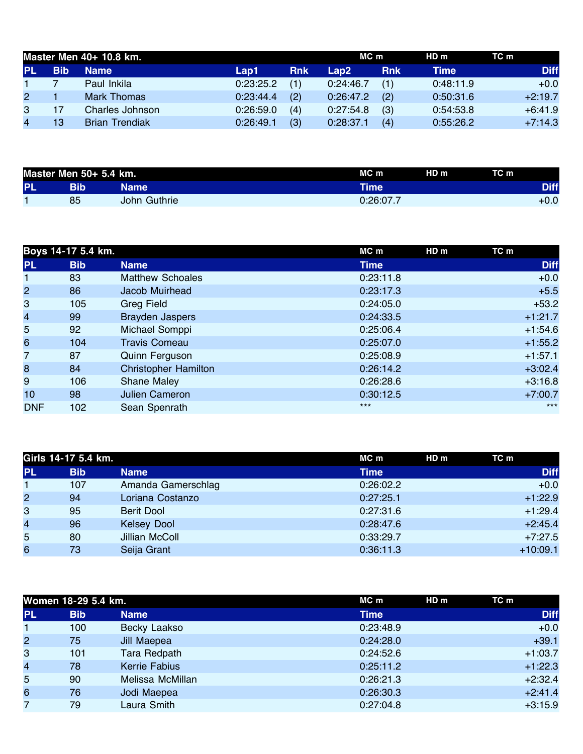| Master Men 40+ 10.8 km. |                       |           |            |           | MC m       |             | TC m        |
|-------------------------|-----------------------|-----------|------------|-----------|------------|-------------|-------------|
| <b>Bib</b>              | <b>Name</b>           | Lap1      | <b>Rnk</b> | Lap2      | <b>Rnk</b> | <b>Time</b> | <b>Diff</b> |
|                         | Paul Inkila           | 0:23:25.2 | (1)        | 0:24:46.7 | (1)        | 0:48:11.9   | $+0.0$      |
|                         | Mark Thomas           | 0:23:44.4 | (2)        | 0:26:47.2 | (2)        | 0:50:31.6   | $+2:19.7$   |
|                         | Charles Johnson       | 0:26:59.0 | (4)        | 0:27:54.8 | (3)        | 0:54:53.8   | $+6:41.9$   |
| 13                      | <b>Brian Trendiak</b> | 0:26:49.1 | (3)        | 0:28:37.1 | (4)        | 0:55:26.2   | $+7:14.3$   |
|                         |                       |           |            |           |            |             | HD m        |

| Master Men 50+ 5.4 km. |     | MC m         | HD <sub>m</sub> | TC m |             |
|------------------------|-----|--------------|-----------------|------|-------------|
| <b>PL</b>              | Bib | Name         | Time'           |      | <b>Diff</b> |
|                        | 85  | John Guthrie | 0:26:07.7       |      | $+0.0$      |

|                | Boys 14-17 5.4 km. |                             | MC m        | HD <sub>m</sub> | TC m        |
|----------------|--------------------|-----------------------------|-------------|-----------------|-------------|
| <b>PL</b>      | <b>Bib</b>         | <b>Name</b>                 | <b>Time</b> |                 | <b>Diff</b> |
|                | 83                 | <b>Matthew Schoales</b>     | 0:23:11.8   |                 | $+0.0$      |
| $\overline{2}$ | 86                 | Jacob Muirhead              | 0:23:17.3   |                 | $+5.5$      |
| 3              | 105                | Greg Field                  | 0:24:05.0   |                 | $+53.2$     |
| 4              | 99                 | <b>Brayden Jaspers</b>      | 0:24:33.5   |                 | $+1:21.7$   |
| 5 <sup>1</sup> | 92                 | Michael Somppi              | 0:25:06.4   |                 | $+1:54.6$   |
| 6              | 104                | <b>Travis Comeau</b>        | 0:25:07.0   |                 | $+1:55.2$   |
| 7              | 87                 | Quinn Ferguson              | 0:25:08.9   |                 | $+1:57.1$   |
| 8              | 84                 | <b>Christopher Hamilton</b> | 0:26:14.2   |                 | $+3:02.4$   |
| 9              | 106                | <b>Shane Maley</b>          | 0:26:28.6   |                 | $+3:16.8$   |
| 10             | 98                 | <b>Julien Cameron</b>       | 0:30:12.5   |                 | $+7:00.7$   |
| <b>DNF</b>     | 102                | Sean Spenrath               | $***$       |                 | $***$       |

|                | Girls 14-17 5.4 km. |                    | MC m<br>HD m | TC m        |
|----------------|---------------------|--------------------|--------------|-------------|
| <b>PL</b>      | <b>Bib</b>          | <b>Name</b>        | Time         | <b>Diff</b> |
|                | 107                 | Amanda Gamerschlag | 0:26:02.2    | $+0.0$      |
| $\overline{2}$ | 94                  | Loriana Costanzo   | 0:27:25.1    | $+1:22.9$   |
| 3              | 95                  | Berit Dool         | 0:27:31.6    | $+1:29.4$   |
| $\overline{4}$ | 96                  | <b>Kelsey Dool</b> | 0:28:47.6    | $+2:45.4$   |
| 5              | 80                  | Jillian McColl     | 0:33:29.7    | $+7:27.5$   |
| 6              | 73                  | Seija Grant        | 0:36:11.3    | $+10:09.1$  |

| TC m        |
|-------------|
| <b>Diff</b> |
| $+0.0$      |
| $+39.1$     |
| $+1:03.7$   |
| $+1:22.3$   |
| $+2:32.4$   |
| $+2:41.4$   |
| $+3:15.9$   |
|             |